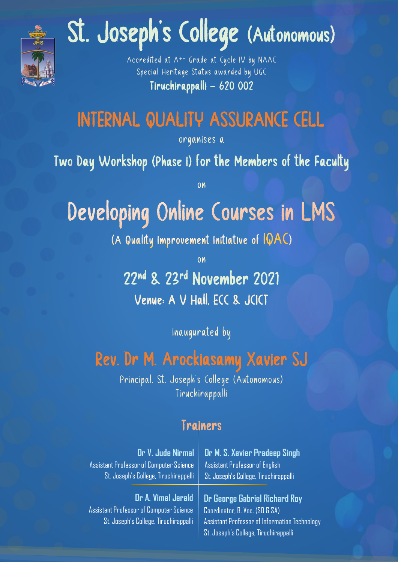

# St. Joseph's College (Autonomous)

Accredited at A++ Grade at Cycle IV by NAAC Special Heritage Status awarded by UGC Tiruchirappalli – 620 002

### INTERNAL QUALITY ASSURANCE CELL

organises a

Two Day Workshop (Phase I) for the Members of the Faculty

on

## Developing Online Courses in LMS

(A Quality Improvement Initiative of IQAC)

on

22nd & 23rd November 2021 Venue: A V Hall, ECC & JCICT

Inaugurated by

#### Rev. Dr M. Arockiasamy Xavier SJ

Principal, St. Joseph's College (Autonomous) Tiruchirappalli

#### Trainers

| Dr V. Jude Nirmal                                                                                             | Dr M. S. Xavier Pradeep Singh                                                                                                                             |
|---------------------------------------------------------------------------------------------------------------|-----------------------------------------------------------------------------------------------------------------------------------------------------------|
| Assistant Professor of Computer Science                                                                       | Assistant Professor of English                                                                                                                            |
| St. Joseph's College, Tiruchirappalli                                                                         | St. Joseph's College, Tiruchirappalli                                                                                                                     |
| Dr A. Vimal Jerald<br><b>Assistant Professor of Computer Science</b><br>St. Joseph's College, Tiruchirappalli | Dr George Gabriel Richard Roy<br>Coordinator, B. Voc. (SD & SA)<br>Assistant Professor of Information Technology<br>St. Joseph's College, Tiruchirappalli |